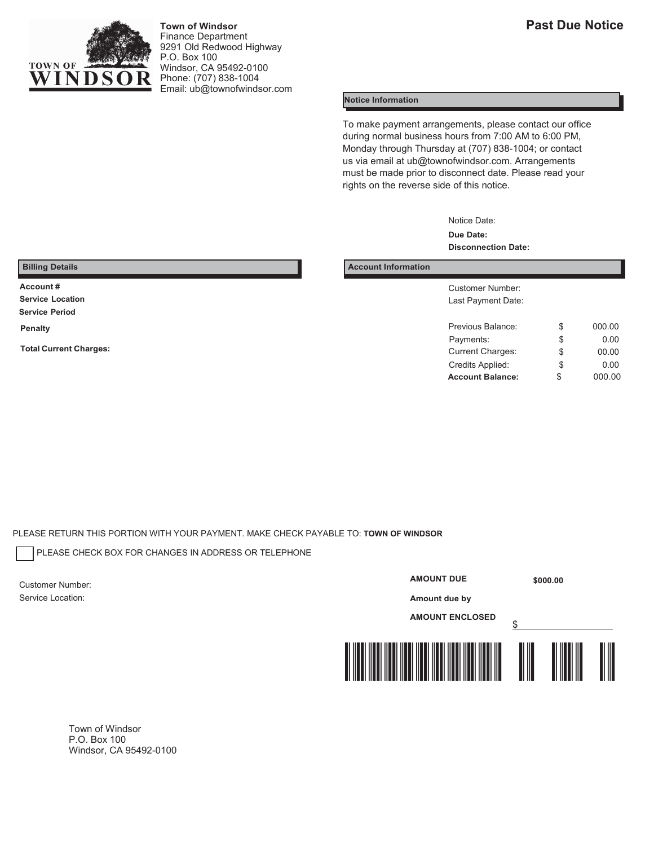

**Town of Windsor** Finance Department 9291 Old Redwood Highway P.O. Box 100 Windsor, CA 95492-0100 Phone: (707) 838-1004 Email[: ub@townofwindsor.com](mailto:ub@townofwindsor.com)

#### **Notice Information**

To make payment arrangements, please contact our office during normal business hours from 7:00 AM to 6:00 PM, Monday through Thursday at (707) 838-1004; or contact us via email at [ub@townofwindsor.com.](mailto:ub@townofwindsor.com) Arrangements must be made prior to disconnect date. Please read your rights on the reverse side of this notice.

> Notice Date: **Due Date: Disconnection Date:**

**Service Period**

**Billing Details Account Information Account Information** 

**Account #** Customer Number: Last Payment Date:

| Penalty                       | Previous Balance:       | 000.00 |
|-------------------------------|-------------------------|--------|
| <b>Total Current Charges:</b> | Payments:               | 0.00   |
|                               | <b>Current Charges:</b> | 00.00  |
|                               | Credits Applied:        | 0.00   |
|                               | <b>Account Balance:</b> | 000.00 |

PLEASE RETURN THIS PORTION WITH YOUR PAYMENT. MAKE CHECK PAYABLE TO: **TOWN OF WINDSOR**

PLEASE CHECK BOX FOR CHANGES IN ADDRESS OR TELEPHONE

Customer Number: Service Location:

### **AMOUNT DUE**

**\$000.00** 

**Amount due by** 

**AMOUNT ENCLOSED**



Town of Windsor P.O. Box 100 Windsor, CA 95492-0100